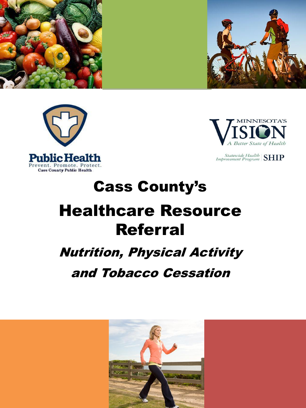







Statewide Health SHIP

# Cass County's Healthcare Resource Referral

#### Nutrition, Physical Activity

#### and Tobacco Cessation

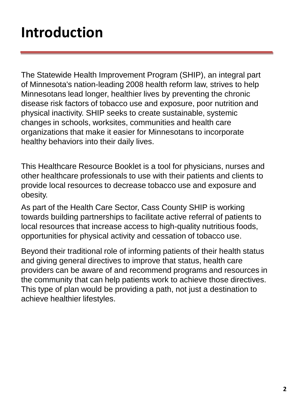#### **Introduction**

The Statewide Health Improvement Program (SHIP), an integral part of Minnesota's nation-leading 2008 health reform law, strives to help Minnesotans lead longer, healthier lives by preventing the chronic disease risk factors of tobacco use and exposure, poor nutrition and physical inactivity. SHIP seeks to create sustainable, systemic changes in schools, worksites, communities and health care organizations that make it easier for Minnesotans to incorporate healthy behaviors into their daily lives.

This Healthcare Resource Booklet is a tool for physicians, nurses and other healthcare professionals to use with their patients and clients to provide local resources to decrease tobacco use and exposure and obesity.

As part of the Health Care Sector, Cass County SHIP is working towards building partnerships to facilitate active referral of patients to local resources that increase access to high-quality nutritious foods, opportunities for physical activity and cessation of tobacco use.

Beyond their traditional role of informing patients of their health status and giving general directives to improve that status, health care providers can be aware of and recommend programs and resources in the community that can help patients work to achieve those directives. This type of plan would be providing a path, not just a destination to achieve healthier lifestyles.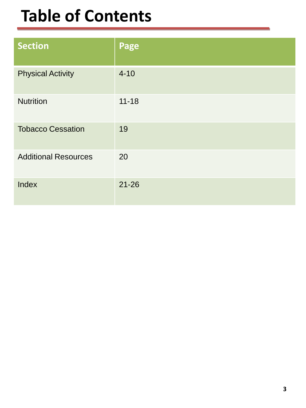#### **Table of Contents**

| <b>Section</b>              | Page      |
|-----------------------------|-----------|
| <b>Physical Activity</b>    | $4 - 10$  |
| <b>Nutrition</b>            | $11 - 18$ |
| <b>Tobacco Cessation</b>    | 19        |
| <b>Additional Resources</b> | 20        |
| Index                       | $21 - 26$ |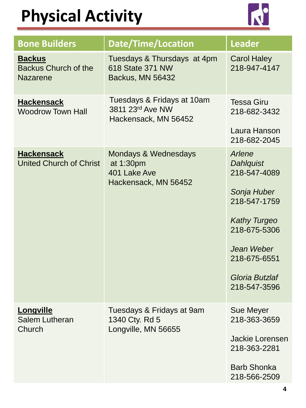

| <b>Bone Builders</b>                                     | Date/Time/Location                                                                   | <b>Leader</b>                                                                                                                                                                    |
|----------------------------------------------------------|--------------------------------------------------------------------------------------|----------------------------------------------------------------------------------------------------------------------------------------------------------------------------------|
| <b>Backus</b><br><b>Backus Church of the</b><br>Nazarene | Tuesdays & Thursdays at 4pm<br>618 State 371 NW<br>Backus, MN 56432                  | <b>Carol Haley</b><br>218-947-4147                                                                                                                                               |
| <b>Hackensack</b><br><b>Woodrow Town Hall</b>            | Tuesdays & Fridays at 10am<br>3811 23rd Ave NW<br>Hackensack, MN 56452               | <b>Tessa Giru</b><br>218-682-3432<br>Laura Hanson<br>218-682-2045                                                                                                                |
| <b>Hackensack</b><br><b>United Church of Christ</b>      | <b>Mondays &amp; Wednesdays</b><br>at 1:30pm<br>401 Lake Ave<br>Hackensack, MN 56452 | Arlene<br><b>Dahlquist</b><br>218-547-4089<br>Sonja Huber<br>218-547-1759<br><b>Kathy Turgeo</b><br>218-675-5306<br>Jean Weber<br>218-675-6551<br>Gloria Butzlaf<br>218-547-3596 |
| Longville<br><b>Salem Lutheran</b><br>Church             | Tuesdays & Fridays at 9am<br>1340 Cty. Rd 5<br>Longville, MN 56655                   | <b>Sue Meyer</b><br>218-363-3659<br><b>Jackie Lorensen</b><br>218-363-2281<br><b>Barb Shonka</b><br>218-566-2509                                                                 |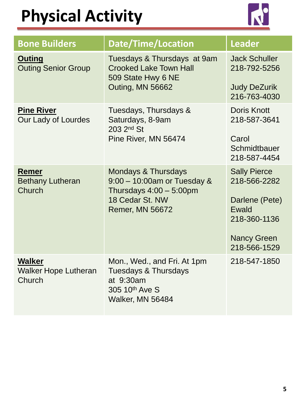

| <b>Bone Builders</b>                                   | Date/Time/Location                                                                                                                     | <b>Leader</b>                                                                                                        |
|--------------------------------------------------------|----------------------------------------------------------------------------------------------------------------------------------------|----------------------------------------------------------------------------------------------------------------------|
| <b>Outing</b><br><b>Outing Senior Group</b>            | Tuesdays & Thursdays at 9am<br><b>Crooked Lake Town Hall</b><br>509 State Hwy 6 NE<br>Outing, MN 56662                                 | <b>Jack Schuller</b><br>218-792-5256<br><b>Judy DeZurik</b><br>216-763-4030                                          |
| <b>Pine River</b><br>Our Lady of Lourdes               | Tuesdays, Thursdays &<br>Saturdays, 8-9am<br>203 2 <sup>nd</sup> St<br>Pine River, MN 56474                                            | <b>Doris Knott</b><br>218-587-3641<br>Carol<br>Schmidtbauer<br>218-587-4454                                          |
| <b>Remer</b><br><b>Bethany Lutheran</b><br>Church      | <b>Mondays &amp; Thursdays</b><br>9:00 - 10:00am or Tuesday &<br>Thursdays $4:00-5:00$ pm<br>18 Cedar St. NW<br><b>Remer, MN 56672</b> | <b>Sally Pierce</b><br>218-566-2282<br>Darlene (Pete)<br>Ewald<br>218-360-1136<br><b>Nancy Green</b><br>218-566-1529 |
| <b>Walker</b><br><b>Walker Hope Lutheran</b><br>Church | Mon., Wed., and Fri. At 1pm<br><b>Tuesdays &amp; Thursdays</b><br>at 9:30am<br>305 10th Ave S<br>Walker, MN 56484                      | 218-547-1850                                                                                                         |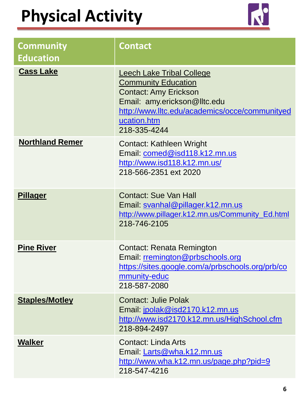

| <b>Community</b><br><b>Education</b> | <b>Contact</b>                                                                                                                                                                                                  |
|--------------------------------------|-----------------------------------------------------------------------------------------------------------------------------------------------------------------------------------------------------------------|
| <b>Cass Lake</b>                     | <b>Leech Lake Tribal College</b><br><b>Community Education</b><br><b>Contact: Amy Erickson</b><br>Email: amy.erickson@lltc.edu<br>http://www.lltc.edu/academics/occe/communityed<br>ucation.htm<br>218-335-4244 |
| <b>Northland Remer</b>               | <b>Contact: Kathleen Wright</b><br>Email: comed@isd118.k12.mn.us<br>http://www.isd118.k12.mn.us/<br>218-566-2351 ext 2020                                                                                       |
| <b>Pillager</b>                      | <b>Contact: Sue Van Hall</b><br>Email: svanhal@pillager.k12.mn.us<br>http://www.pillager.k12.mn.us/Community_Ed.html<br>218-746-2105                                                                            |
| <b>Pine River</b>                    | <b>Contact: Renata Remington</b><br>Email: rremington@prbschools.org<br>https://sites.google.com/a/prbschools.org/prb/co<br>mmunity-educ<br>218-587-2080                                                        |
| <b>Staples/Motley</b>                | <b>Contact: Julie Polak</b><br>Email: jpolak@isd2170.k12.mn.us<br>http://www.isd2170.k12.mn.us/HighSchool.cfm<br>218-894-2497                                                                                   |
| <b>Walker</b>                        | Contact: Linda Arts<br>Email: Larts@wha.k12.mn.us<br>http://www.wha.k12.mn.us/page.php?pid=9<br>218-547-4216                                                                                                    |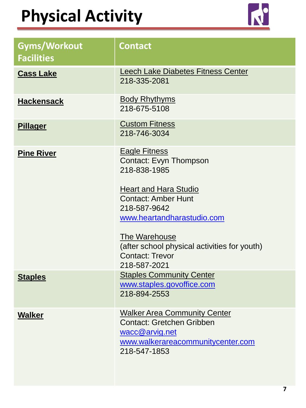

| <b>Gyms/Workout</b><br><b>Facilities</b> | <b>Contact</b>                                                                                                                                                                                                                                                                        |
|------------------------------------------|---------------------------------------------------------------------------------------------------------------------------------------------------------------------------------------------------------------------------------------------------------------------------------------|
| <b>Cass Lake</b>                         | <b>Leech Lake Diabetes Fitness Center</b><br>218-335-2081                                                                                                                                                                                                                             |
| <b>Hackensack</b>                        | <b>Body Rhythyms</b><br>218-675-5108                                                                                                                                                                                                                                                  |
| <b>Pillager</b>                          | <b>Custom Fitness</b><br>218-746-3034                                                                                                                                                                                                                                                 |
| <b>Pine River</b>                        | <b>Eagle Fitness</b><br>Contact: Evyn Thompson<br>218-838-1985<br><b>Heart and Hara Studio</b><br><b>Contact: Amber Hunt</b><br>218-587-9642<br>www.heartandharastudio.com<br>The Warehouse<br>(after school physical activities for youth)<br><b>Contact: Trevor</b><br>218-587-2021 |
| <b>Staples</b>                           | <b>Staples Community Center</b><br>www.staples.govoffice.com<br>218-894-2553                                                                                                                                                                                                          |
| <b>Walker</b>                            | <b>Walker Area Community Center</b><br><b>Contact: Gretchen Gribben</b><br>wacc@arvig.net<br>www.walkerareacommunitycenter.com<br>218-547-1853                                                                                                                                        |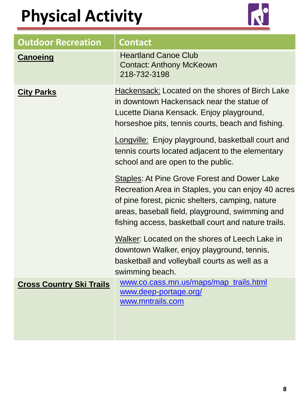

| <b>Outdoor Recreation</b>       | <b>Contact</b>                                                                                                                                                                                                                                                   |
|---------------------------------|------------------------------------------------------------------------------------------------------------------------------------------------------------------------------------------------------------------------------------------------------------------|
| <b>Canoeing</b>                 | <b>Heartland Canoe Club</b><br><b>Contact: Anthony McKeown</b><br>218-732-3198                                                                                                                                                                                   |
| <b>City Parks</b>               | <b>Hackensack: Located on the shores of Birch Lake</b><br>in downtown Hackensack near the statue of<br>Lucette Diana Kensack. Enjoy playground,<br>horseshoe pits, tennis courts, beach and fishing.                                                             |
|                                 | Longville: Enjoy playground, basketball court and<br>tennis courts located adjacent to the elementary<br>school and are open to the public.                                                                                                                      |
|                                 | Staples: At Pine Grove Forest and Dower Lake<br>Recreation Area in Staples, you can enjoy 40 acres<br>of pine forest, picnic shelters, camping, nature<br>areas, baseball field, playground, swimming and<br>fishing access, basketball court and nature trails. |
|                                 | Walker: Located on the shores of Leech Lake in<br>downtown Walker, enjoy playground, tennis,<br>basketball and volleyball courts as well as a<br>swimming beach.                                                                                                 |
| <b>Cross Country Ski Trails</b> | www.co.cass.mn.us/maps/map_trails.html<br>www.deep-portage.org/<br>www.mntrails.com                                                                                                                                                                              |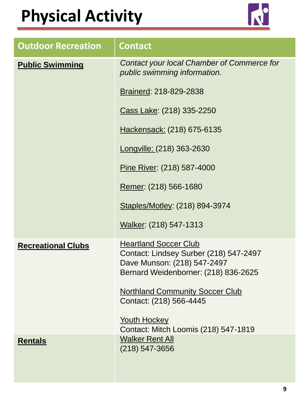

| <b>Outdoor Recreation</b> | <b>Contact</b>                                                                                                                                |
|---------------------------|-----------------------------------------------------------------------------------------------------------------------------------------------|
| <b>Public Swimming</b>    | Contact your local Chamber of Commerce for<br>public swimming information.                                                                    |
|                           | Brainerd: 218-829-2838                                                                                                                        |
|                           | Cass Lake: (218) 335-2250                                                                                                                     |
|                           | Hackensack: (218) 675-6135                                                                                                                    |
|                           | Longville: (218) 363-2630                                                                                                                     |
|                           | Pine River: (218) 587-4000                                                                                                                    |
|                           | Remer: (218) 566-1680                                                                                                                         |
|                           | Staples/Motley: (218) 894-3974                                                                                                                |
|                           | Walker: (218) 547-1313                                                                                                                        |
| <b>Recreational Clubs</b> | <b>Heartland Soccer Club</b><br>Contact: Lindsey Surber (218) 547-2497<br>Dave Munson: (218) 547-2497<br>Bernard Weidenborner: (218) 836-2625 |
|                           | <b>Northland Community Soccer Club</b><br>Contact: (218) 566-4445                                                                             |
|                           | <b>Youth Hockey</b><br>Contact: Mitch Loomis (218) 547-1819                                                                                   |
| <b>Rentals</b>            | <b>Walker Rent All</b><br>$(218) 547 - 3656$                                                                                                  |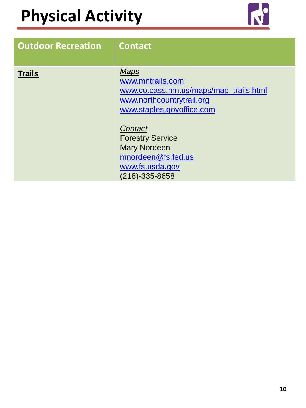

| <b>Outdoor Recreation</b> | <b>Contact</b>                                                                                                                                                                                                                                                |
|---------------------------|---------------------------------------------------------------------------------------------------------------------------------------------------------------------------------------------------------------------------------------------------------------|
| <b>Trails</b>             | <b>Maps</b><br>www.mntrails.com<br>www.co.cass.mn.us/maps/map_trails.html<br>www.northcountrytrail.org<br>www.staples.govoffice.com<br>Contact<br><b>Forestry Service</b><br><b>Mary Nordeen</b><br>mnordeen@fs.fed.us<br>www.fs.usda.gov<br>$(218)-335-8658$ |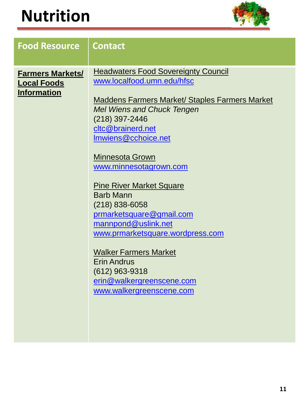

| <b>Food Resource</b>                                                | <b>Contact</b>                                                                                                                                                                                                                                                                                                                                                                                                                                                                                                                                                                                  |
|---------------------------------------------------------------------|-------------------------------------------------------------------------------------------------------------------------------------------------------------------------------------------------------------------------------------------------------------------------------------------------------------------------------------------------------------------------------------------------------------------------------------------------------------------------------------------------------------------------------------------------------------------------------------------------|
| <b>Farmers Markets/</b><br><b>Local Foods</b><br><b>Information</b> | <b>Headwaters Food Sovereignty Council</b><br>www.localfood.umn.edu/hfsc<br><b>Maddens Farmers Market/ Staples Farmers Market</b><br><b>Mel Wiens and Chuck Tengen</b><br>(218) 397-2446<br>cltc@brainerd.net<br>Imwiens@cchoice.net<br><b>Minnesota Grown</b><br>www.minnesotagrown.com<br><b>Pine River Market Square</b><br><b>Barb Mann</b><br>$(218) 838 - 6058$<br>prmarketsquare@gmail.com<br>mannpond@uslink.net<br>www.prmarketsquare.wordpress.com<br><b>Walker Farmers Market</b><br><b>Erin Andrus</b><br>$(612)$ 963-9318<br>erin@walkergreenscene.com<br>www.walkergreenscene.com |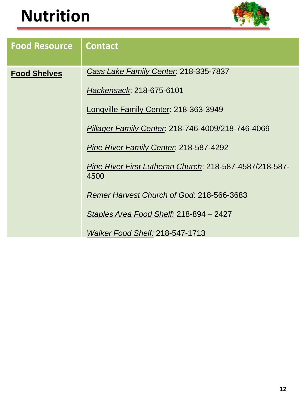

| <b>Food Resource</b> | <b>Contact</b>                                                  |
|----------------------|-----------------------------------------------------------------|
| <b>Food Shelves</b>  | Cass Lake Family Center. 218-335-7837                           |
|                      | Hackensack: 218-675-6101                                        |
|                      | Longville Family Center: 218-363-3949                           |
|                      | Pillager Family Center. 218-746-4009/218-746-4069               |
|                      | Pine River Family Center. 218-587-4292                          |
|                      | Pine River First Lutheran Church: 218-587-4587/218-587-<br>4500 |
|                      | Remer Harvest Church of God: 218-566-3683                       |
|                      | Staples Area Food Shelf: 218-894 - 2427                         |
|                      | <b>Walker Food Shelf: 218-547-1713</b>                          |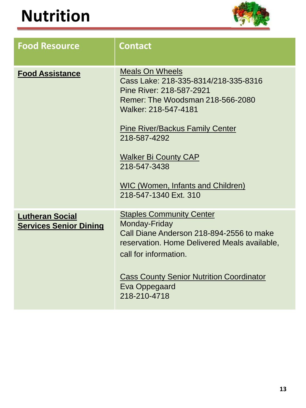

| <b>Food Resource</b>                                    | <b>Contact</b>                                                                                                                                                                                                                                                                                                                       |
|---------------------------------------------------------|--------------------------------------------------------------------------------------------------------------------------------------------------------------------------------------------------------------------------------------------------------------------------------------------------------------------------------------|
| <b>Food Assistance</b>                                  | <b>Meals On Wheels</b><br>Cass Lake: 218-335-8314/218-335-8316<br>Pine River: 218-587-2921<br>Remer: The Woodsman 218-566-2080<br>Walker: 218-547-4181<br><b>Pine River/Backus Family Center</b><br>218-587-4292<br><b>Walker Bi County CAP</b><br>218-547-3438<br><b>WIC (Women, Infants and Children)</b><br>218-547-1340 Ext. 310 |
| <b>Lutheran Social</b><br><b>Services Senior Dining</b> | <b>Staples Community Center</b><br>Monday-Friday<br>Call Diane Anderson 218-894-2556 to make<br>reservation. Home Delivered Meals available,<br>call for information.<br><b>Cass County Senior Nutrition Coordinator</b><br>Eva Oppegaard<br>218-210-4718                                                                            |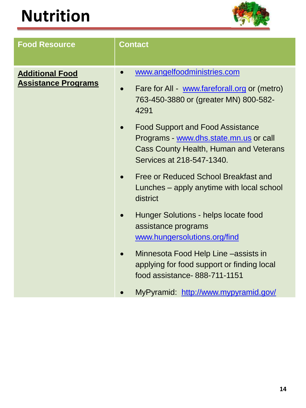

| <b>Food Resource</b>                                 | <b>Contact</b>                                                                                                                                           |
|------------------------------------------------------|----------------------------------------------------------------------------------------------------------------------------------------------------------|
| <b>Additional Food</b><br><b>Assistance Programs</b> | www.angelfoodministries.com<br>$\bullet$<br>Fare for All - www.fareforall.org or (metro)<br>763-450-3880 or (greater MN) 800-582-<br>4291                |
|                                                      | <b>Food Support and Food Assistance</b><br>Programs - www.dhs.state.mn.us or call<br>Cass County Health, Human and Veterans<br>Services at 218-547-1340. |
|                                                      | Free or Reduced School Breakfast and<br>Lunches – apply anytime with local school<br>district                                                            |
|                                                      | Hunger Solutions - helps locate food<br>assistance programs<br>www.hungersolutions.org/find                                                              |
|                                                      | Minnesota Food Help Line -assists in<br>$\bullet$<br>applying for food support or finding local<br>food assistance-888-711-1151                          |
|                                                      | MyPyramid: http://www.mypyramid.gov/                                                                                                                     |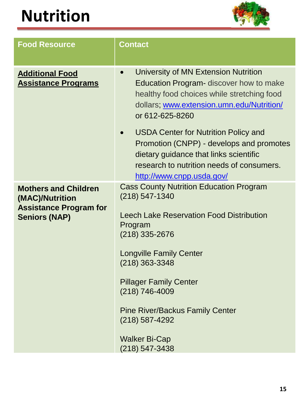

| <b>Food Resource</b>                                                                                    | <b>Contact</b>                                                                                                                                                                                                                                                                                                                                                              |
|---------------------------------------------------------------------------------------------------------|-----------------------------------------------------------------------------------------------------------------------------------------------------------------------------------------------------------------------------------------------------------------------------------------------------------------------------------------------------------------------------|
| <b>Additional Food</b><br><b>Assistance Programs</b>                                                    | University of MN Extension Nutrition<br>$\bullet$<br><b>Education Program-</b> discover how to make<br>healthy food choices while stretching food<br>dollars; www.extension.umn.edu/Nutrition/<br>or 612-625-8260<br><b>USDA Center for Nutrition Policy and</b><br>$\bullet$                                                                                               |
|                                                                                                         | Promotion (CNPP) - develops and promotes<br>dietary guidance that links scientific<br>research to nutrition needs of consumers.<br>http://www.cnpp.usda.gov/                                                                                                                                                                                                                |
| <b>Mothers and Children</b><br>(MAC)/Nutrition<br><b>Assistance Program for</b><br><b>Seniors (NAP)</b> | <b>Cass County Nutrition Education Program</b><br>$(218) 547 - 1340$<br><b>Leech Lake Reservation Food Distribution</b><br>Program<br>$(218)$ 335-2676<br><b>Longville Family Center</b><br>$(218)$ 363-3348<br><b>Pillager Family Center</b><br>(218) 746-4009<br><b>Pine River/Backus Family Center</b><br>$(218)$ 587-4292<br><b>Walker Bi-Cap</b><br>$(218) 547 - 3438$ |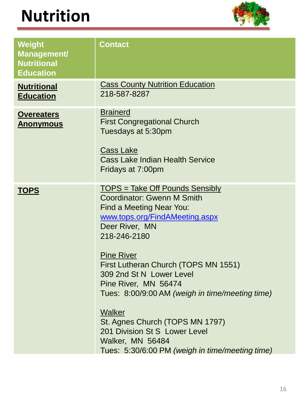

| Weight<br><b>Management/</b><br><b>Nutritional</b><br><b>Education</b> | <b>Contact</b>                                                                                                                                                                                                                                                                                                                                                                                                                                                                                 |
|------------------------------------------------------------------------|------------------------------------------------------------------------------------------------------------------------------------------------------------------------------------------------------------------------------------------------------------------------------------------------------------------------------------------------------------------------------------------------------------------------------------------------------------------------------------------------|
| <b>Nutritional</b><br><b>Education</b>                                 | <b>Cass County Nutrition Education</b><br>218-587-8287                                                                                                                                                                                                                                                                                                                                                                                                                                         |
| <b>Overeaters</b><br><u>Anonymous</u>                                  | <b>Brainerd</b><br><b>First Congregational Church</b><br>Tuesdays at 5:30pm<br><b>Cass Lake</b><br><b>Cass Lake Indian Health Service</b><br>Fridays at 7:00pm                                                                                                                                                                                                                                                                                                                                 |
| <b>TOPS</b>                                                            | <u> TOPS = Take Off Pounds Sensibly</u><br>Coordinator: Gwenn M Smith<br>Find a Meeting Near You:<br>www.tops.org/FindAMeeting.aspx<br>Deer River, MN<br>218-246-2180<br><b>Pine River</b><br>First Lutheran Church (TOPS MN 1551)<br>309 2nd St N Lower Level<br>Pine River, MN 56474<br>Tues: 8:00/9:00 AM (weigh in time/meeting time)<br>Walker<br>St. Agnes Church (TOPS MN 1797)<br>201 Division St S Lower Level<br>Walker, MN 56484<br>Tues: 5:30/6:00 PM (weigh in time/meeting time) |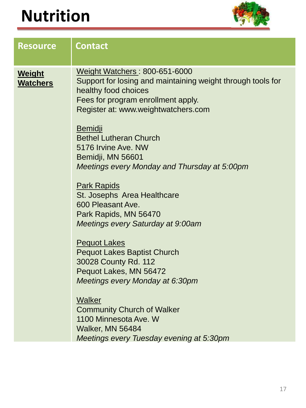

| <b>Resource</b>                  | <b>Contact</b>                                                                                                                                                                                                                                                                                                                                                                                                                    |
|----------------------------------|-----------------------------------------------------------------------------------------------------------------------------------------------------------------------------------------------------------------------------------------------------------------------------------------------------------------------------------------------------------------------------------------------------------------------------------|
| <b>Weight</b><br><b>Watchers</b> | <b>Weight Watchers: 800-651-6000</b><br>Support for losing and maintaining weight through tools for<br>healthy food choices<br>Fees for program enrollment apply.<br>Register at: www.weightwatchers.com<br><u>Bemidji</u><br><b>Bethel Lutheran Church</b><br>5176 Irvine Ave, NW<br>Bemidji, MN 56601<br>Meetings every Monday and Thursday at 5:00pm<br><b>Park Rapids</b><br>St. Josephs Area Healthcare<br>600 Pleasant Ave. |
|                                  | Park Rapids, MN 56470<br><b>Meetings every Saturday at 9:00am</b><br><b>Pequot Lakes</b><br><b>Pequot Lakes Baptist Church</b><br>30028 County Rd. 112<br>Pequot Lakes, MN 56472<br>Meetings every Monday at 6:30pm<br><b>Walker</b><br><b>Community Church of Walker</b><br>1100 Minnesota Ave. W<br>Walker, MN 56484<br>Meetings every Tuesday evening at 5:30pm                                                                |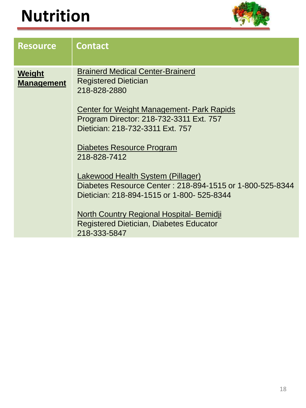

| <b>Resource</b>             | <b>Contact</b>                                                                                                                                                                                                                                                                                                                                                                                                                                                                                                                                    |
|-----------------------------|---------------------------------------------------------------------------------------------------------------------------------------------------------------------------------------------------------------------------------------------------------------------------------------------------------------------------------------------------------------------------------------------------------------------------------------------------------------------------------------------------------------------------------------------------|
| Weight<br><b>Management</b> | <b>Brainerd Medical Center-Brainerd</b><br><b>Registered Dietician</b><br>218-828-2880<br><b>Center for Weight Management- Park Rapids</b><br>Program Director: 218-732-3311 Ext. 757<br>Dietician: 218-732-3311 Ext. 757<br><u>Diabetes Resource Program</u><br>218-828-7412<br>Lakewood Health System (Pillager)<br>Diabetes Resource Center: 218-894-1515 or 1-800-525-8344<br>Dietician: 218-894-1515 or 1-800- 525-8344<br><b>North Country Regional Hospital- Bemidji</b><br><b>Registered Dietician, Diabetes Educator</b><br>218-333-5847 |
|                             |                                                                                                                                                                                                                                                                                                                                                                                                                                                                                                                                                   |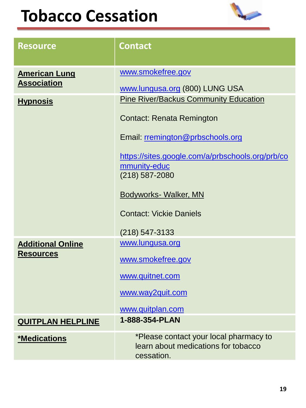#### **Tobacco Cessation**



| <b>Resource</b>                              | <b>Contact</b>                                                                                                                                                                                                                                                                                       |
|----------------------------------------------|------------------------------------------------------------------------------------------------------------------------------------------------------------------------------------------------------------------------------------------------------------------------------------------------------|
| <b>American Lung</b><br><b>Association</b>   | www.smokefree.gov<br>www.lungusa.org (800) LUNG USA                                                                                                                                                                                                                                                  |
| <b>Hypnosis</b>                              | <b>Pine River/Backus Community Education</b><br><b>Contact: Renata Remington</b><br>Email: rremington@prbschools.org<br>https://sites.google.com/a/prbschools.org/prb/co<br>mmunity-educ<br>$(218)$ 587-2080<br><b>Bodyworks- Walker, MN</b><br><b>Contact: Vickie Daniels</b><br>$(218) 547 - 3133$ |
| <b>Additional Online</b><br><b>Resources</b> | www.lungusa.org<br>www.smokefree.gov<br>www.quitnet.com<br>www.way2quit.com<br>www.quitplan.com                                                                                                                                                                                                      |
| <b>QUITPLAN HELPLINE</b>                     | 1-888-354-PLAN                                                                                                                                                                                                                                                                                       |
| *Medications                                 | *Please contact your local pharmacy to<br>learn about medications for tobacco<br>cessation.                                                                                                                                                                                                          |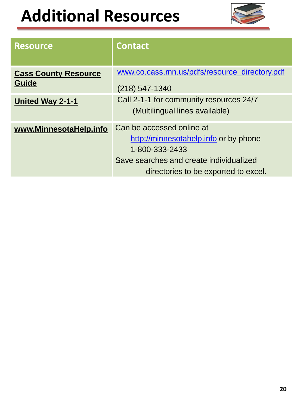# **Additional Resources**



| <b>Resource</b>                             | <b>Contact</b>                                                                                                                                                          |
|---------------------------------------------|-------------------------------------------------------------------------------------------------------------------------------------------------------------------------|
| <b>Cass County Resource</b><br><b>Guide</b> | www.co.cass.mn.us/pdfs/resource_directory.pdf<br>(218) 547-1340                                                                                                         |
| <u><b>United Way 2-1-1</b></u>              | Call 2-1-1 for community resources 24/7<br>(Multilingual lines available)                                                                                               |
| www.MinnesotaHelp.info                      | Can be accessed online at<br>http://minnesotahelp.info or by phone<br>1-800-333-2433<br>Save searches and create individualized<br>directories to be exported to excel. |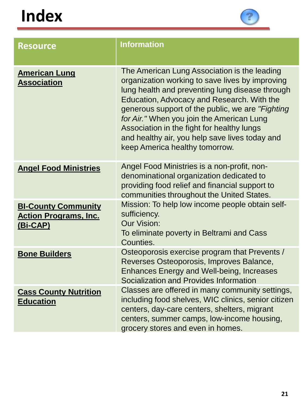| <b>Resource</b>                                                        | <b>Information</b>                                                                                                                                                                                                                                                                                                                                                                                                                   |
|------------------------------------------------------------------------|--------------------------------------------------------------------------------------------------------------------------------------------------------------------------------------------------------------------------------------------------------------------------------------------------------------------------------------------------------------------------------------------------------------------------------------|
| <b>American Lung</b><br><b>Association</b>                             | The American Lung Association is the leading<br>organization working to save lives by improving<br>lung health and preventing lung disease through<br>Education, Advocacy and Research. With the<br>generous support of the public, we are "Fighting"<br>for Air." When you join the American Lung<br>Association in the fight for healthy lungs<br>and healthy air, you help save lives today and<br>keep America healthy tomorrow. |
| <b>Angel Food Ministries</b>                                           | Angel Food Ministries is a non-profit, non-<br>denominational organization dedicated to<br>providing food relief and financial support to<br>communities throughout the United States.                                                                                                                                                                                                                                               |
| <b>BI-County Community</b><br><b>Action Programs, Inc.</b><br>(Bi-CAP) | Mission: To help low income people obtain self-<br>sufficiency.<br><b>Our Vision:</b><br>To eliminate poverty in Beltrami and Cass<br>Counties.                                                                                                                                                                                                                                                                                      |
| <b>Bone Builders</b>                                                   | Osteoporosis exercise program that Prevents /<br>Reverses Osteoporosis, Improves Balance,<br><b>Enhances Energy and Well-being, Increases</b><br>Socialization and Provides Information                                                                                                                                                                                                                                              |
| <b>Cass County Nutrition</b><br><b>Education</b>                       | Classes are offered in many community settings,<br>including food shelves, WIC clinics, senior citizen<br>centers, day-care centers, shelters, migrant<br>centers, summer camps, low-income housing,<br>grocery stores and even in homes.                                                                                                                                                                                            |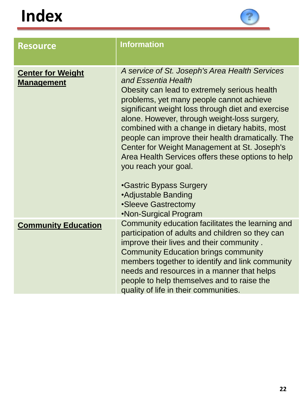

| <b>Resource</b>                               | <b>Information</b>                                                                                                                                                                                                                                                                                                                                                                                                                                                                                                                                                                                                  |
|-----------------------------------------------|---------------------------------------------------------------------------------------------------------------------------------------------------------------------------------------------------------------------------------------------------------------------------------------------------------------------------------------------------------------------------------------------------------------------------------------------------------------------------------------------------------------------------------------------------------------------------------------------------------------------|
| <b>Center for Weight</b><br><b>Management</b> | A service of St. Joseph's Area Health Services<br>and Essentia Health<br>Obesity can lead to extremely serious health<br>problems, yet many people cannot achieve<br>significant weight loss through diet and exercise<br>alone. However, through weight-loss surgery,<br>combined with a change in dietary habits, most<br>people can improve their health dramatically. The<br>Center for Weight Management at St. Joseph's<br>Area Health Services offers these options to help<br>you reach your goal.<br><b>•Gastric Bypass Surgery</b><br>•Adjustable Banding<br>•Sleeve Gastrectomy<br>•Non-Surgical Program |
| <b>Community Education</b>                    | Community education facilitates the learning and<br>participation of adults and children so they can<br>improve their lives and their community.<br><b>Community Education brings community</b><br>members together to identify and link community<br>needs and resources in a manner that helps<br>people to help themselves and to raise the<br>quality of life in their communities.                                                                                                                                                                                                                             |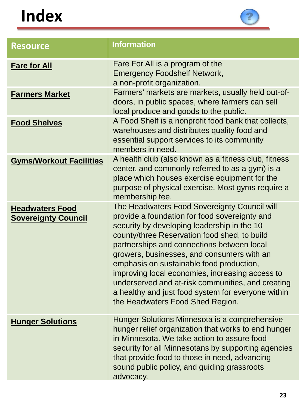

| <b>Resource</b>                                      | <b>Information</b>                                                                                                                                                                                                                                                                                                                                                                                                                                                                                                                     |
|------------------------------------------------------|----------------------------------------------------------------------------------------------------------------------------------------------------------------------------------------------------------------------------------------------------------------------------------------------------------------------------------------------------------------------------------------------------------------------------------------------------------------------------------------------------------------------------------------|
| <b>Fare for All</b>                                  | Fare For All is a program of the<br><b>Emergency Foodshelf Network,</b><br>a non-profit organization.<br>Farmers' markets are markets, usually held out-of-<br>doors, in public spaces, where farmers can sell<br>local produce and goods to the public.<br>A Food Shelf is a nonprofit food bank that collects,<br>warehouses and distributes quality food and<br>essential support services to its community<br>members in need.                                                                                                     |
| <b>Farmers Market</b>                                |                                                                                                                                                                                                                                                                                                                                                                                                                                                                                                                                        |
| <b>Food Shelves</b>                                  |                                                                                                                                                                                                                                                                                                                                                                                                                                                                                                                                        |
| <b>Gyms/Workout Facilities</b>                       | A health club (also known as a fitness club, fitness<br>center, and commonly referred to as a gym) is a<br>place which houses exercise equipment for the<br>purpose of physical exercise. Most gyms require a<br>membership fee.                                                                                                                                                                                                                                                                                                       |
| <b>Headwaters Food</b><br><b>Sovereignty Council</b> | The Headwaters Food Sovereignty Council will<br>provide a foundation for food sovereignty and<br>security by developing leadership in the 10<br>county/three Reservation food shed, to build<br>partnerships and connections between local<br>growers, businesses, and consumers with an<br>emphasis on sustainable food production,<br>improving local economies, increasing access to<br>underserved and at-risk communities, and creating<br>a healthy and just food system for everyone within<br>the Headwaters Food Shed Region. |
| <b>Hunger Solutions</b>                              | Hunger Solutions Minnesota is a comprehensive<br>hunger relief organization that works to end hunger<br>in Minnesota. We take action to assure food<br>security for all Minnesotans by supporting agencies<br>that provide food to those in need, advancing<br>sound public policy, and guiding grassroots<br>advocacy.                                                                                                                                                                                                                |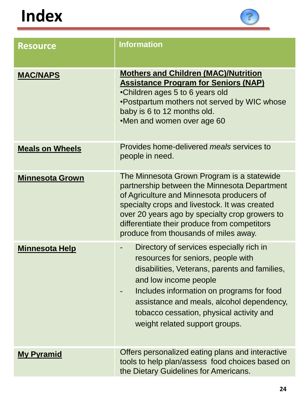

| <b>Resource</b>        | <b>Information</b>                                                                                                                                                                                                                                                                                                                  |
|------------------------|-------------------------------------------------------------------------------------------------------------------------------------------------------------------------------------------------------------------------------------------------------------------------------------------------------------------------------------|
| <b>MAC/NAPS</b>        | <b>Mothers and Children (MAC)/Nutrition</b><br><b>Assistance Program for Seniors (NAP)</b><br>•Children ages 5 to 6 years old<br>•Postpartum mothers not served by WIC whose<br>baby is 6 to 12 months old.<br>•Men and women over age 60                                                                                           |
| <b>Meals on Wheels</b> | Provides home-delivered <i>meals</i> services to<br>people in need.                                                                                                                                                                                                                                                                 |
| <b>Minnesota Grown</b> | The Minnesota Grown Program is a statewide<br>partnership between the Minnesota Department<br>of Agriculture and Minnesota producers of<br>specialty crops and livestock. It was created<br>over 20 years ago by specialty crop growers to<br>differentiate their produce from competitors<br>produce from thousands of miles away. |
| <b>Minnesota Help</b>  | Directory of services especially rich in<br>resources for seniors, people with<br>disabilities, Veterans, parents and families,<br>and low income people<br>Includes information on programs for food<br>assistance and meals, alcohol dependency,<br>tobacco cessation, physical activity and<br>weight related support groups.    |
| <b>My Pyramid</b>      | Offers personalized eating plans and interactive<br>tools to help plan/assess food choices based on<br>the Dietary Guidelines for Americans.                                                                                                                                                                                        |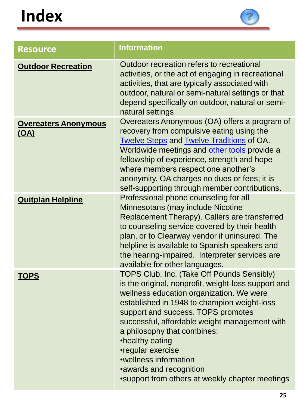

| <b>Resource</b>                            | <b>Information</b>                                                                                                                                                                                                                                                                                                                                                                                                                                                |
|--------------------------------------------|-------------------------------------------------------------------------------------------------------------------------------------------------------------------------------------------------------------------------------------------------------------------------------------------------------------------------------------------------------------------------------------------------------------------------------------------------------------------|
| <b>Outdoor Recreation</b>                  | Outdoor recreation refers to recreational<br>activities, or the act of engaging in recreational<br>activities, that are typically associated with<br>outdoor, natural or semi-natural settings or that<br>depend specifically on outdoor, natural or semi-<br>natural settings                                                                                                                                                                                    |
| <b>Overeaters Anonymous</b><br><u>(OA)</u> | Overeaters Anonymous (OA) offers a program of<br>recovery from compulsive eating using the<br><b>Twelve Steps and Twelve Traditions of OA.</b><br>Worldwide meetings and other tools provide a<br>fellowship of experience, strength and hope<br>where members respect one another's<br>anonymity. OA charges no dues or fees; it is<br>self-supporting through member contributions.                                                                             |
| <b>Quitplan Helpline</b>                   | Professional phone counseling for all<br>Minnesotans (may include Nicotine<br>Replacement Therapy). Callers are transferred<br>to counseling service covered by their health<br>plan, or to Clearway vendor if uninsured. The<br>helpline is available to Spanish speakers and<br>the hearing-impaired. Interpreter services are<br>available for other languages.                                                                                                |
| <b>TOPS</b>                                | TOPS Club, Inc. (Take Off Pounds Sensibly)<br>is the original, nonprofit, weight-loss support and<br>wellness education organization. We were<br>established in 1948 to champion weight-loss<br>support and success. TOPS promotes<br>successful, affordable weight management with<br>a philosophy that combines:<br>•healthy eating<br>•regular exercise<br>•wellness information<br>•awards and recognition<br>•support from others at weekly chapter meetings |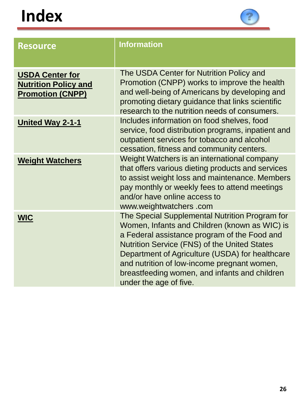

| <b>Resource</b>                                                                  | <b>Information</b>                                                                                                                                                                                                                                                                                                                                                           |
|----------------------------------------------------------------------------------|------------------------------------------------------------------------------------------------------------------------------------------------------------------------------------------------------------------------------------------------------------------------------------------------------------------------------------------------------------------------------|
| <b>USDA Center for</b><br><b>Nutrition Policy and</b><br><b>Promotion (CNPP)</b> | The USDA Center for Nutrition Policy and<br>Promotion (CNPP) works to improve the health<br>and well-being of Americans by developing and<br>promoting dietary guidance that links scientific<br>research to the nutrition needs of consumers.                                                                                                                               |
| <b>United Way 2-1-1</b>                                                          | Includes information on food shelves, food<br>service, food distribution programs, inpatient and<br>outpatient services for tobacco and alcohol<br>cessation, fitness and community centers.                                                                                                                                                                                 |
| <b>Weight Watchers</b>                                                           | Weight Watchers is an international company<br>that offers various dieting products and services<br>to assist weight loss and maintenance. Members<br>pay monthly or weekly fees to attend meetings<br>and/or have online access to<br>www.weightwatchers.com                                                                                                                |
| <b>WIC</b>                                                                       | The Special Supplemental Nutrition Program for<br>Women, Infants and Children (known as WIC) is<br>a Federal assistance program of the Food and<br>Nutrition Service (FNS) of the United States<br>Department of Agriculture (USDA) for healthcare<br>and nutrition of low-income pregnant women,<br>breastfeeding women, and infants and children<br>under the age of five. |